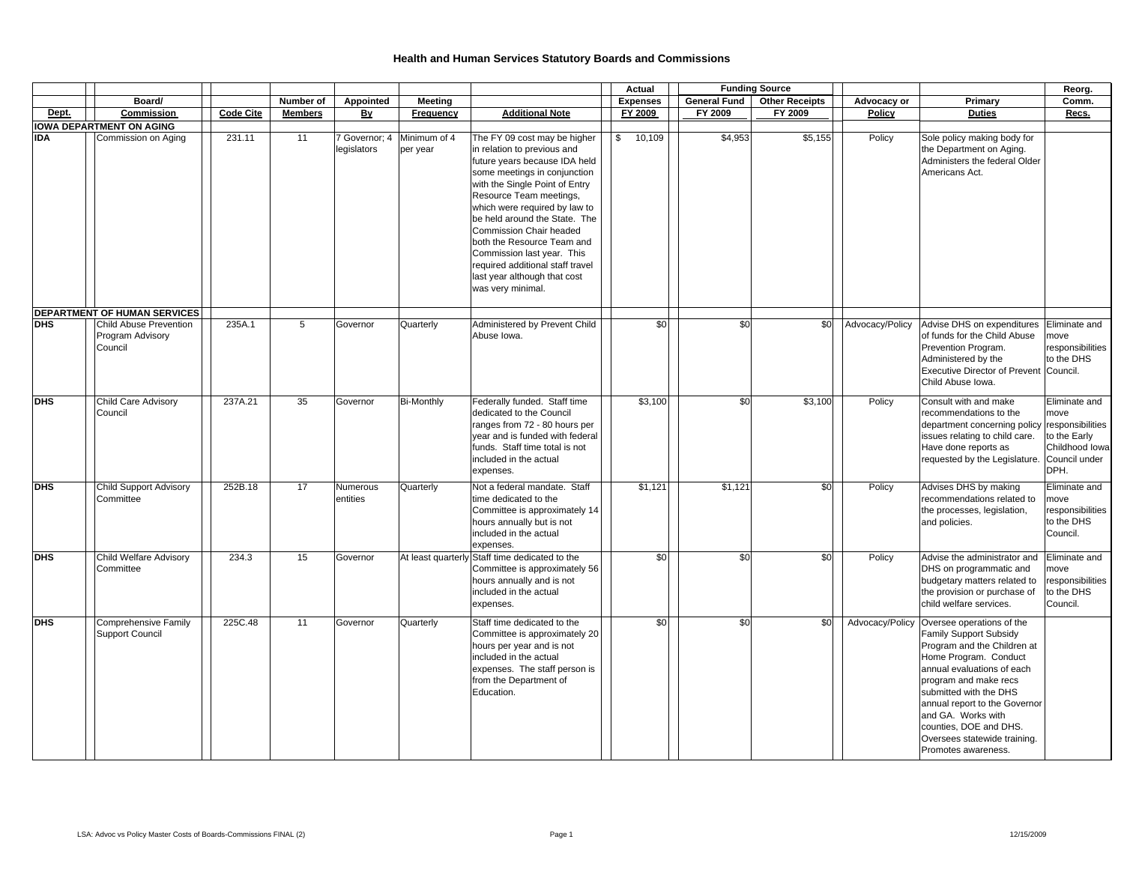|            |                                                              |                  |                |                             |                                        |                                                                                                                                                                                                                                                                                                                                                                                                                                                    | Actual          |                     | <b>Funding Source</b> |                 |                                                                                                                                                                                                                                                                                                                                      | Reorg.                                                              |
|------------|--------------------------------------------------------------|------------------|----------------|-----------------------------|----------------------------------------|----------------------------------------------------------------------------------------------------------------------------------------------------------------------------------------------------------------------------------------------------------------------------------------------------------------------------------------------------------------------------------------------------------------------------------------------------|-----------------|---------------------|-----------------------|-----------------|--------------------------------------------------------------------------------------------------------------------------------------------------------------------------------------------------------------------------------------------------------------------------------------------------------------------------------------|---------------------------------------------------------------------|
|            | Board/                                                       |                  | Number of      | Appointed                   | <b>Meeting</b>                         |                                                                                                                                                                                                                                                                                                                                                                                                                                                    | <b>Expenses</b> | <b>General Fund</b> | <b>Other Receipts</b> | Advocacy or     | Primary                                                                                                                                                                                                                                                                                                                              | Comm.                                                               |
| Dept.      | Commission                                                   | <b>Code Cite</b> | <b>Members</b> | <u>By</u>                   | Frequency                              | <b>Additional Note</b>                                                                                                                                                                                                                                                                                                                                                                                                                             | FY 2009         | FY 2009             | FY 2009               | Policy          | <b>Duties</b>                                                                                                                                                                                                                                                                                                                        | Recs.                                                               |
|            | <b>IOWA DEPARTMENT ON AGING</b>                              |                  |                |                             |                                        |                                                                                                                                                                                                                                                                                                                                                                                                                                                    |                 |                     |                       |                 |                                                                                                                                                                                                                                                                                                                                      |                                                                     |
| IDA        | Commission on Aging                                          | 231.11           | 11             | legislators                 | 7 Governor; 4 Minimum of 4<br>per year | The FY 09 cost may be higher<br>in relation to previous and<br>future years because IDA held<br>some meetings in conjunction<br>with the Single Point of Entry<br>Resource Team meetings,<br>which were required by law to<br>be held around the State. The<br><b>Commission Chair headed</b><br>both the Resource Team and<br>Commission last year. This<br>required additional staff travel<br>last year although that cost<br>was very minimal. | 10,109<br>\$    | \$4,953             | \$5,155               | Policy          | Sole policy making body for<br>the Department on Aging.<br>Administers the federal Older<br>Americans Act.                                                                                                                                                                                                                           |                                                                     |
|            | DEPARTMENT OF HUMAN SERVICES                                 |                  |                |                             |                                        |                                                                                                                                                                                                                                                                                                                                                                                                                                                    |                 |                     |                       |                 |                                                                                                                                                                                                                                                                                                                                      |                                                                     |
| <b>DHS</b> | <b>Child Abuse Prevention</b><br>Program Advisory<br>Council | 235A.1           | 5              | Governor                    | Quarterly                              | Administered by Prevent Child<br>Abuse Iowa.                                                                                                                                                                                                                                                                                                                                                                                                       | \$0             | \$0                 | \$0                   | Advocacy/Policy | Advise DHS on expenditures<br>of funds for the Child Abuse<br>Prevention Program.<br>Administered by the<br>Executive Director of Prevent Council.<br>Child Abuse Iowa.                                                                                                                                                              | Eliminate and<br>move<br>responsibilities<br>to the DHS             |
| <b>DHS</b> | <b>Child Care Advisory</b>                                   | 237A.21          | 35             | Governor                    | <b>Bi-Monthly</b>                      | Federally funded. Staff time                                                                                                                                                                                                                                                                                                                                                                                                                       | \$3,100         | \$0                 | \$3,100               | Policy          | Consult with and make                                                                                                                                                                                                                                                                                                                | Eliminate and                                                       |
|            | Council                                                      |                  |                |                             |                                        | dedicated to the Council<br>ranges from 72 - 80 hours per<br>year and is funded with federal<br>funds. Staff time total is not<br>included in the actual<br>expenses.                                                                                                                                                                                                                                                                              |                 |                     |                       |                 | recommendations to the<br>department concerning policy responsibilities<br>issues relating to child care.<br>Have done reports as<br>requested by the Legislature.                                                                                                                                                                   | move<br>to the Early<br>Childhood Iowa<br>Council under<br>DPH.     |
| <b>DHS</b> | <b>Child Support Advisory</b><br>Committee                   | 252B.18          | 17             | <b>Numerous</b><br>entities | Quarterly                              | Not a federal mandate. Staff<br>time dedicated to the<br>Committee is approximately 14<br>hours annually but is not<br>included in the actual<br>expenses.                                                                                                                                                                                                                                                                                         | \$1,121         | \$1,121             | \$0                   | Policy          | Advises DHS by making<br>recommendations related to<br>the processes, legislation,<br>and policies.                                                                                                                                                                                                                                  | Eliminate and<br>move<br>responsibilities<br>to the DHS<br>Council. |
| <b>DHS</b> | <b>Child Welfare Advisory</b><br>Committee                   | 234.3            | 15             | Governor                    |                                        | At least quarterly Staff time dedicated to the<br>Committee is approximately 56<br>hours annually and is not<br>included in the actual<br>expenses.                                                                                                                                                                                                                                                                                                | \$0             | \$0                 | \$0                   | Policy          | Advise the administrator and<br>DHS on programmatic and<br>budgetary matters related to<br>the provision or purchase of<br>child welfare services.                                                                                                                                                                                   | Eliminate and<br>move<br>responsibilities<br>to the DHS<br>Council. |
| <b>DHS</b> | <b>Comprehensive Family</b><br><b>Support Council</b>        | 225C.48          | 11             | Governor                    | Quarterly                              | Staff time dedicated to the<br>Committee is approximately 20<br>hours per year and is not<br>included in the actual<br>expenses. The staff person is<br>from the Department of<br>Education.                                                                                                                                                                                                                                                       | \$0             | \$0                 | \$0                   | Advocacy/Policy | Oversee operations of the<br>Family Support Subsidy<br>Program and the Children at<br>Home Program. Conduct<br>annual evaluations of each<br>program and make recs<br>submitted with the DHS<br>annual report to the Governor<br>and GA. Works with<br>counties, DOE and DHS.<br>Oversees statewide training.<br>Promotes awareness. |                                                                     |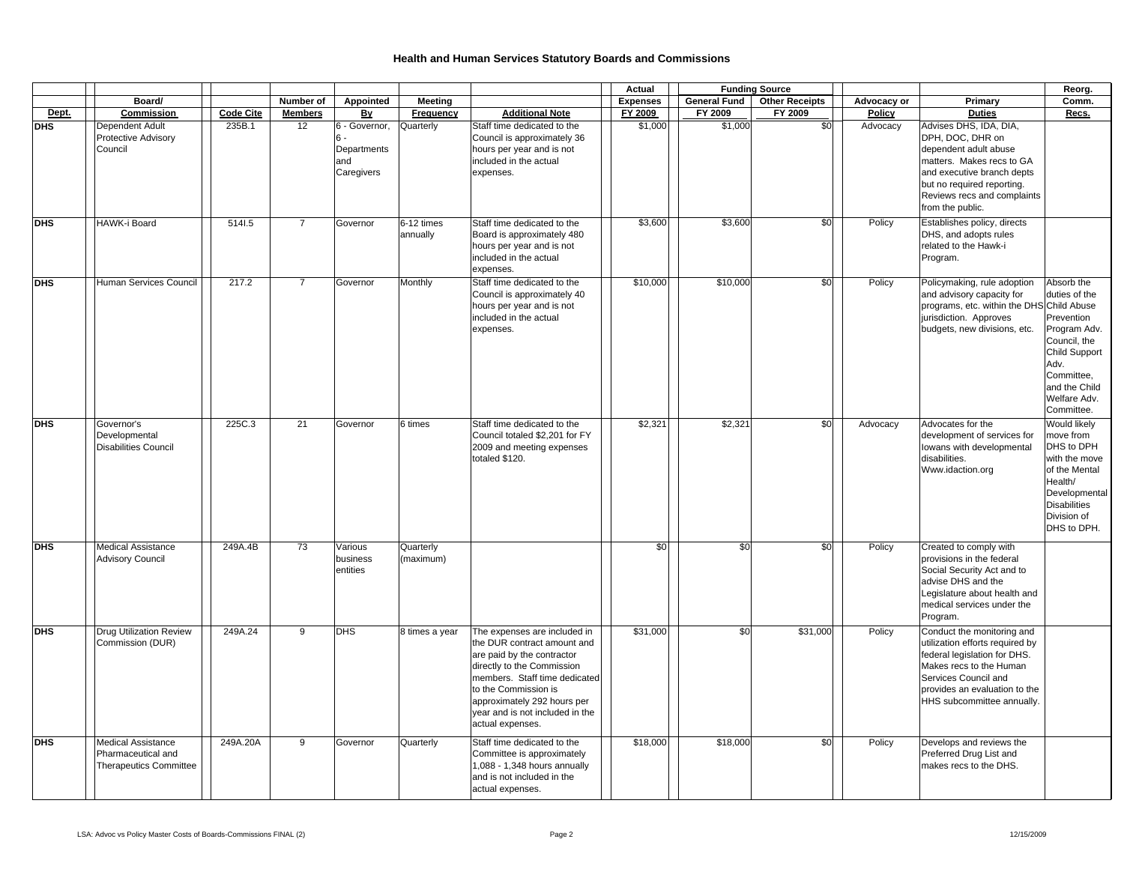|            |                                                                           |                  |                 |                                                         |                        |                                                                                                                                                                                                                                                                        | Actual          |                     | <b>Funding Source</b> |             |                                                                                                                                                                                                                 | Reorg.                                                                                                                                                          |
|------------|---------------------------------------------------------------------------|------------------|-----------------|---------------------------------------------------------|------------------------|------------------------------------------------------------------------------------------------------------------------------------------------------------------------------------------------------------------------------------------------------------------------|-----------------|---------------------|-----------------------|-------------|-----------------------------------------------------------------------------------------------------------------------------------------------------------------------------------------------------------------|-----------------------------------------------------------------------------------------------------------------------------------------------------------------|
|            | Board/                                                                    |                  | Number of       | Appointed                                               | Meeting                |                                                                                                                                                                                                                                                                        | <b>Expenses</b> | <b>General Fund</b> | <b>Other Receipts</b> | Advocacy or | Primary                                                                                                                                                                                                         | Comm.                                                                                                                                                           |
| Dept.      | Commission                                                                | <b>Code Cite</b> | <b>Members</b>  | By                                                      | Frequency              | <b>Additional Note</b>                                                                                                                                                                                                                                                 | FY 2009         | FY 2009             | FY 2009               | Policy      | <b>Duties</b>                                                                                                                                                                                                   | Recs.                                                                                                                                                           |
| <b>DHS</b> | Dependent Adult<br><b>Protective Advisory</b><br>Council                  | 235B.1           | 12              | 6 - Governor,<br>6.<br>Departments<br>and<br>Caregivers | Quarterly              | Staff time dedicated to the<br>Council is approximately 36<br>hours per year and is not<br>included in the actual<br>expenses.                                                                                                                                         | \$1,000         | \$1,000             | \$0                   | Advocacy    | Advises DHS, IDA, DIA,<br>DPH, DOC, DHR on<br>dependent adult abuse<br>matters. Makes recs to GA<br>and executive branch depts<br>but no required reporting.<br>Reviews recs and complaints<br>from the public. |                                                                                                                                                                 |
| <b>DHS</b> | HAWK-i Board                                                              | 5141.5           | $\overline{7}$  | Governor                                                | 6-12 times<br>annually | Staff time dedicated to the<br>Board is approximately 480<br>hours per year and is not<br>included in the actual<br>expenses.                                                                                                                                          | \$3,600         | \$3,600             | \$0                   | Policy      | Establishes policy, directs<br>DHS, and adopts rules<br>related to the Hawk-i<br>Program.                                                                                                                       |                                                                                                                                                                 |
| <b>DHS</b> | Human Services Council                                                    | 217.2            | $\overline{7}$  | Governor                                                | Monthly                | Staff time dedicated to the<br>Council is approximately 40<br>hours per year and is not<br>included in the actual<br>expenses.                                                                                                                                         | \$10,000        | \$10,000            | \$0                   | Policy      | Policymaking, rule adoption<br>and advisory capacity for<br>programs, etc. within the DHS Child Abuse<br>jurisdiction. Approves<br>budgets, new divisions, etc.                                                 | Absorb the<br>duties of the<br>Prevention<br>Program Adv.<br>Council, the<br>Child Support<br>Adv.<br>Committee,<br>and the Child<br>Welfare Adv.<br>Committee. |
| <b>DHS</b> | Governor's<br>Developmental<br><b>Disabilities Council</b>                | 225C.3           | 21              | Governor                                                | 6 times                | Staff time dedicated to the<br>Council totaled \$2,201 for FY<br>2009 and meeting expenses<br>totaled \$120.                                                                                                                                                           | \$2,321         | \$2,321             | \$0                   | Advocacy    | Advocates for the<br>development of services for<br>lowans with developmental<br>disabilities.<br>Www.idaction.org                                                                                              | Would likely<br>move from<br>DHS to DPH<br>with the move<br>of the Mental<br>Health/<br>Developmental<br><b>Disabilities</b><br>Division of<br>DHS to DPH.      |
| <b>DHS</b> | <b>Medical Assistance</b><br><b>Advisory Council</b>                      | 249A.4B          | $\overline{73}$ | Various<br>business<br>entities                         | Quarterly<br>(maximum) |                                                                                                                                                                                                                                                                        | \$0             | \$0                 | \$0                   | Policy      | Created to comply with<br>provisions in the federal<br>Social Security Act and to<br>advise DHS and the<br>Legislature about health and<br>medical services under the<br>Program.                               |                                                                                                                                                                 |
| <b>DHS</b> | <b>Drug Utilization Review</b><br>Commission (DUR)                        | 249A.24          | $\overline{9}$  | DHS                                                     | 8 times a year         | The expenses are included in<br>the DUR contract amount and<br>are paid by the contractor<br>directly to the Commission<br>members. Staff time dedicated<br>to the Commission is<br>approximately 292 hours per<br>year and is not included in the<br>actual expenses. | \$31,000        | \$0                 | \$31,000              | Policy      | Conduct the monitoring and<br>utilization efforts required by<br>federal legislation for DHS.<br>Makes recs to the Human<br>Services Council and<br>provides an evaluation to the<br>HHS subcommittee annually. |                                                                                                                                                                 |
| <b>DHS</b> | <b>Medical Assistance</b><br>Pharmaceutical and<br>Therapeutics Committee | 249A.20A         | 9               | Governor                                                | Quarterly              | Staff time dedicated to the<br>Committee is approximately<br>1,088 - 1,348 hours annually<br>and is not included in the<br>actual expenses.                                                                                                                            | \$18,000        | \$18,000            | \$0                   | Policy      | Develops and reviews the<br>Preferred Drug List and<br>makes recs to the DHS.                                                                                                                                   |                                                                                                                                                                 |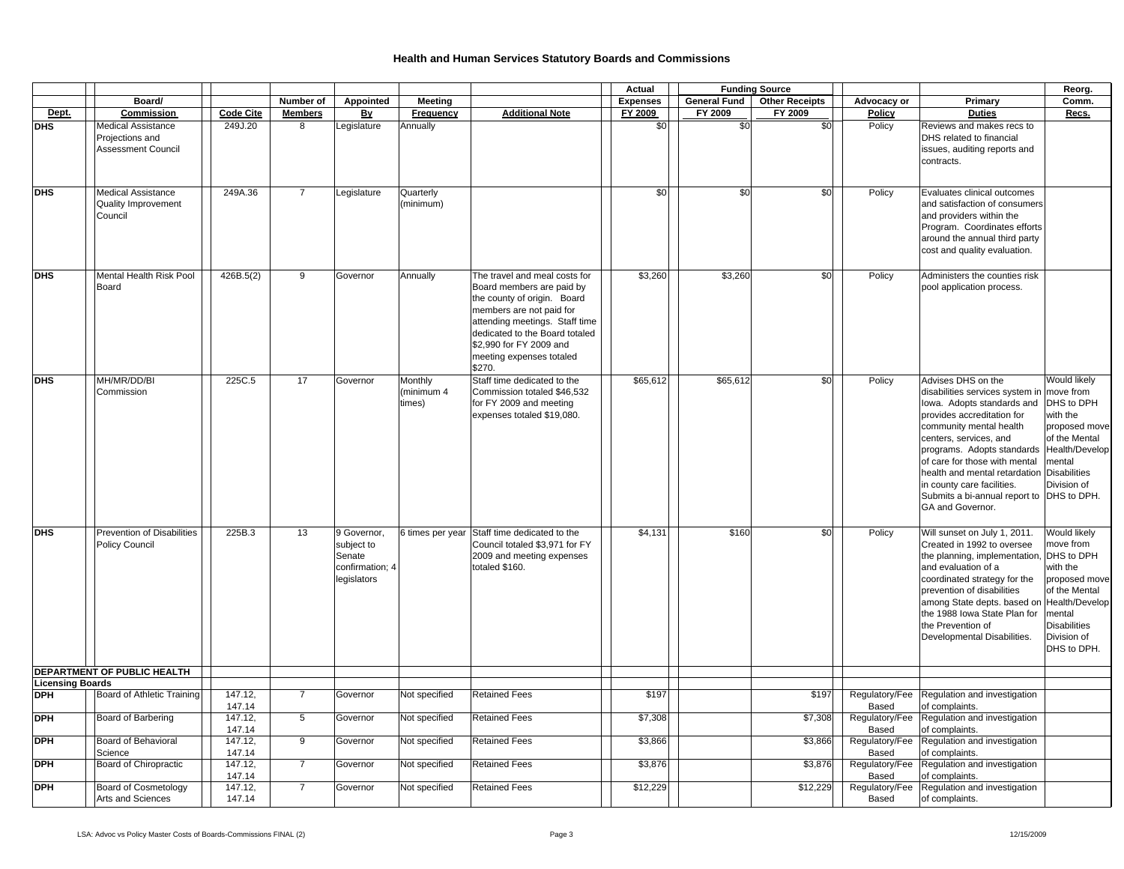|                         |                                                                           |                   |                 |                                                                       |                                 |                                                                                                                                                                                                                                                            | Actual          |                     | <b>Funding Source</b> |                         |                                                                                                                                                                                                                                                                                                                                                                       | Reorg.                                                                                                                                                  |
|-------------------------|---------------------------------------------------------------------------|-------------------|-----------------|-----------------------------------------------------------------------|---------------------------------|------------------------------------------------------------------------------------------------------------------------------------------------------------------------------------------------------------------------------------------------------------|-----------------|---------------------|-----------------------|-------------------------|-----------------------------------------------------------------------------------------------------------------------------------------------------------------------------------------------------------------------------------------------------------------------------------------------------------------------------------------------------------------------|---------------------------------------------------------------------------------------------------------------------------------------------------------|
|                         | Board/                                                                    |                   | Number of       | Appointed                                                             | Meeting                         |                                                                                                                                                                                                                                                            | <b>Expenses</b> | <b>General Fund</b> | <b>Other Receipts</b> | Advocacy or             | Primary                                                                                                                                                                                                                                                                                                                                                               | Comm.                                                                                                                                                   |
| Dept.                   | Commission                                                                | <b>Code Cite</b>  | <b>Members</b>  | <b>By</b>                                                             | Frequency                       | <b>Additional Note</b>                                                                                                                                                                                                                                     | FY 2009         | FY 2009             | FY 2009               | Policy                  | <b>Duties</b>                                                                                                                                                                                                                                                                                                                                                         | Recs.                                                                                                                                                   |
| DHS                     | <b>Medical Assistance</b><br>Projections and<br><b>Assessment Council</b> | 249J.20           | 8               | Legislature                                                           | Annually                        |                                                                                                                                                                                                                                                            | \$0             | \$0                 | \$0                   | Policy                  | Reviews and makes recs to<br>DHS related to financial<br>issues, auditing reports and<br>contracts.                                                                                                                                                                                                                                                                   |                                                                                                                                                         |
| <b>DHS</b>              | <b>Medical Assistance</b><br><b>Quality Improvement</b><br>Council        | 249A.36           | $\overline{7}$  | Legislature                                                           | Quarterly<br>(minimum)          |                                                                                                                                                                                                                                                            | \$0             | \$0                 | \$0                   | Policy                  | Evaluates clinical outcomes<br>and satisfaction of consumers<br>and providers within the<br>Program. Coordinates efforts<br>around the annual third party<br>cost and quality evaluation.                                                                                                                                                                             |                                                                                                                                                         |
| <b>DHS</b>              | Mental Health Risk Pool<br>Board                                          | 426B.5(2)         | 9               | Governor                                                              | Annually                        | The travel and meal costs for<br>Board members are paid by<br>the county of origin. Board<br>members are not paid for<br>attending meetings. Staff time<br>dedicated to the Board totaled<br>\$2,990 for FY 2009 and<br>meeting expenses totaled<br>\$270. | \$3,260         | \$3,260             | \$0                   | Policy                  | Administers the counties risk<br>pool application process.                                                                                                                                                                                                                                                                                                            |                                                                                                                                                         |
| <b>DHS</b>              | MH/MR/DD/BI<br>Commission                                                 | 225C.5            | 17              | Governor                                                              | Monthly<br>minimum 4)<br>times) | Staff time dedicated to the<br>Commission totaled \$46.532<br>for FY 2009 and meeting<br>expenses totaled \$19,080.                                                                                                                                        | \$65,612        | \$65,612            | \$0                   | Policy                  | Advises DHS on the<br>disabilities services system in<br>lowa. Adopts standards and<br>provides accreditation for<br>community mental health<br>centers, services, and<br>programs. Adopts standards<br>of care for those with mental<br>health and mental retardation<br>in county care facilities.<br>Submits a bi-annual report to DHS to DPH.<br>GA and Governor. | Would likely<br>move from<br>DHS to DPH<br>with the<br>proposed move<br>of the Mental<br>Health/Develop<br>mental<br><b>Disabilities</b><br>Division of |
| <b>DHS</b>              | <b>Prevention of Disabilities</b><br><b>Policy Council</b>                | 225B.3            | 13              | 9 Governor,<br>subject to<br>Senate<br>confirmation; 4<br>legislators | 6 times per year                | Staff time dedicated to the<br>Council totaled \$3,971 for FY<br>2009 and meeting expenses<br>totaled \$160.                                                                                                                                               | \$4,131         | \$160               | \$0                   | Policy                  | Will sunset on July 1, 2011.<br>Created in 1992 to oversee<br>the planning, implementation,<br>and evaluation of a<br>coordinated strategy for the<br>prevention of disabilities<br>among State depts. based on Health/Develop<br>the 1988 Iowa State Plan for<br>the Prevention of<br>Developmental Disabilities.                                                    | Would likely<br>move from<br>DHS to DPH<br>with the<br>proposed move<br>of the Mental<br>mental<br><b>Disabilities</b><br>Division of<br>DHS to DPH.    |
|                         | DEPARTMENT OF PUBLIC HEALTH                                               |                   |                 |                                                                       |                                 |                                                                                                                                                                                                                                                            |                 |                     |                       |                         |                                                                                                                                                                                                                                                                                                                                                                       |                                                                                                                                                         |
| <b>Licensing Boards</b> |                                                                           |                   |                 |                                                                       |                                 |                                                                                                                                                                                                                                                            |                 |                     |                       |                         |                                                                                                                                                                                                                                                                                                                                                                       |                                                                                                                                                         |
| <b>DPH</b>              | Board of Athletic Training                                                | 147.12,<br>147.14 | $\overline{7}$  | Governor                                                              | Not specified                   | <b>Retained Fees</b>                                                                                                                                                                                                                                       | \$197           |                     | \$197                 | Regulatory/Fee<br>Based | Regulation and investigation<br>of complaints.                                                                                                                                                                                                                                                                                                                        |                                                                                                                                                         |
| <b>DPH</b>              | Board of Barbering                                                        | 147.12,<br>147.14 | $5\phantom{.0}$ | Governor                                                              | Not specified                   | <b>Retained Fees</b>                                                                                                                                                                                                                                       | \$7,308         |                     | \$7,308               | Regulatory/Fee<br>Based | Regulation and investigation<br>of complaints.                                                                                                                                                                                                                                                                                                                        |                                                                                                                                                         |
| <b>DPH</b>              | Board of Behavioral<br>Science                                            | 147.12,<br>147.14 | $\overline{9}$  | Governor                                                              | Not specified                   | <b>Retained Fees</b>                                                                                                                                                                                                                                       | \$3,866         |                     | \$3,866               | Regulatory/Fee<br>Based | Regulation and investigation<br>of complaints.                                                                                                                                                                                                                                                                                                                        |                                                                                                                                                         |
| <b>DPH</b>              | Board of Chiropractic                                                     | 147.12,<br>147.14 | $\overline{7}$  | Governor                                                              | Not specified                   | <b>Retained Fees</b>                                                                                                                                                                                                                                       | \$3,876         |                     | \$3,876               | Regulatory/Fee<br>Based | Regulation and investigation<br>of complaints.                                                                                                                                                                                                                                                                                                                        |                                                                                                                                                         |
| <b>DPH</b>              | Board of Cosmetology<br><b>Arts and Sciences</b>                          | 147.12,<br>147.14 | $\overline{7}$  | Governor                                                              | Not specified                   | <b>Retained Fees</b>                                                                                                                                                                                                                                       | \$12,229        |                     | \$12,229              | Regulatory/Fee<br>Based | Regulation and investigation<br>of complaints.                                                                                                                                                                                                                                                                                                                        |                                                                                                                                                         |

 $\overline{a}$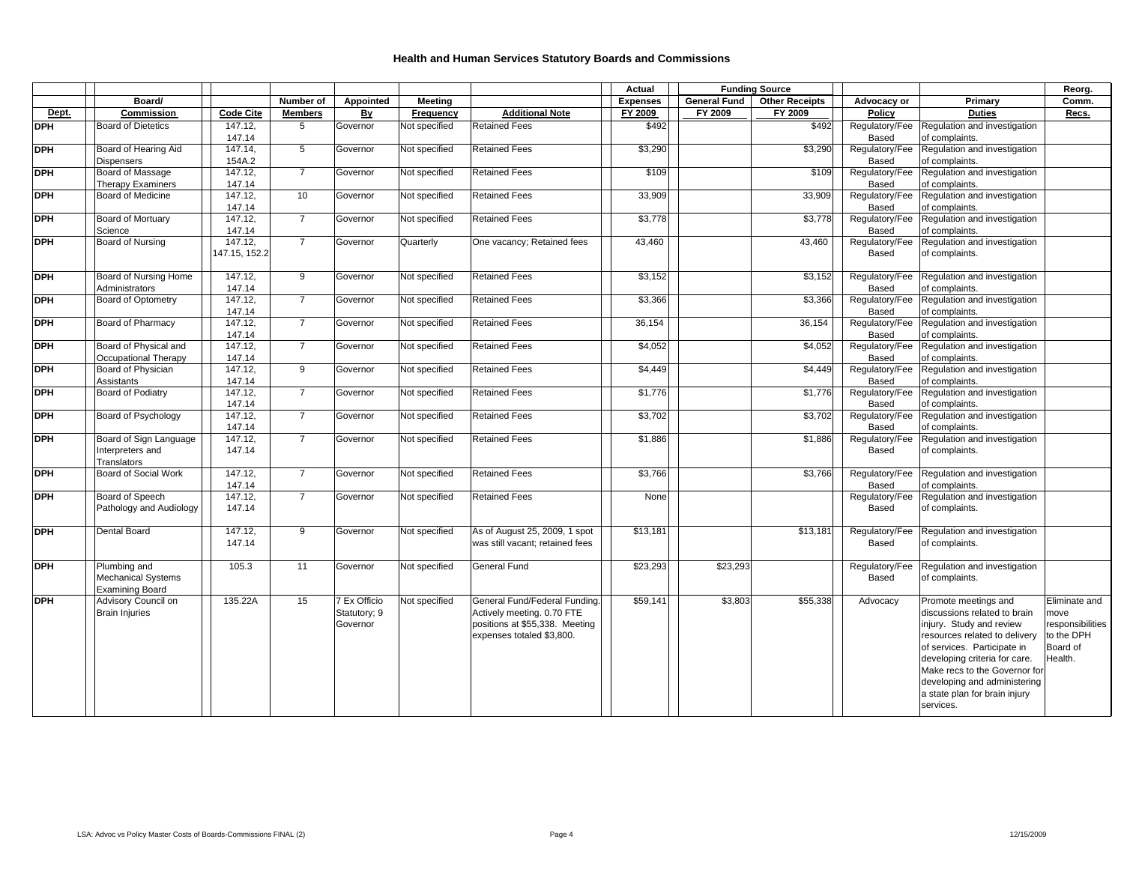|            |                                                                     |                          |                |                                          |               |                                                                                                                            | Actual          |                     | <b>Funding Source</b> |                         |                                                                                                                                                                                                                                                                                                  | Reorg.                                                                         |
|------------|---------------------------------------------------------------------|--------------------------|----------------|------------------------------------------|---------------|----------------------------------------------------------------------------------------------------------------------------|-----------------|---------------------|-----------------------|-------------------------|--------------------------------------------------------------------------------------------------------------------------------------------------------------------------------------------------------------------------------------------------------------------------------------------------|--------------------------------------------------------------------------------|
|            | Board/                                                              |                          | Number of      | Appointed                                | Meeting       |                                                                                                                            | <b>Expenses</b> | <b>General Fund</b> | <b>Other Receipts</b> | Advocacy or             | Primary                                                                                                                                                                                                                                                                                          | Comm.                                                                          |
| Dept.      | Commission                                                          | <b>Code Cite</b>         | <b>Members</b> | By                                       | Frequency     | <b>Additional Note</b>                                                                                                     | FY 2009         | FY 2009             | FY 2009               | Policy                  | <b>Duties</b>                                                                                                                                                                                                                                                                                    | Recs.                                                                          |
| DPH        | <b>Board of Dietetics</b>                                           | 147.12,<br>147.14        | 5              | Governor                                 | Not specified | <b>Retained Fees</b>                                                                                                       | \$492           |                     | \$492                 | Regulatory/Fee<br>Based | Regulation and investigation<br>of complaints.                                                                                                                                                                                                                                                   |                                                                                |
| DPH        | Board of Hearing Aid<br><b>Dispensers</b>                           | 147.14,<br>154A.2        | 5              | Governor                                 | Not specified | <b>Retained Fees</b>                                                                                                       | \$3,290         |                     | \$3,290               | Regulatory/Fee<br>Based | Regulation and investigation<br>of complaints.                                                                                                                                                                                                                                                   |                                                                                |
| DPH        | Board of Massage<br><b>Therapy Examiners</b>                        | 147.12,<br>147.14        | $\overline{7}$ | Governor                                 | Not specified | <b>Retained Fees</b>                                                                                                       | \$109           |                     | \$109                 | Regulatory/Fee<br>Based | Regulation and investigation<br>of complaints.                                                                                                                                                                                                                                                   |                                                                                |
| <b>DPH</b> | <b>Board of Medicine</b>                                            | 147.12,<br>147.14        | 10             | Governor                                 | Not specified | <b>Retained Fees</b>                                                                                                       | 33,909          |                     | 33,909                | Regulatory/Fee<br>Based | Regulation and investigation<br>of complaints.                                                                                                                                                                                                                                                   |                                                                                |
| DPH        | Board of Mortuary<br>Science                                        | 147.12,<br>147.14        | $\overline{7}$ | Governor                                 | Not specified | <b>Retained Fees</b>                                                                                                       | \$3,778         |                     | \$3,778               | Regulatory/Fee<br>Based | Regulation and investigation<br>of complaints.                                                                                                                                                                                                                                                   |                                                                                |
| DPH        | Board of Nursing                                                    | 147.12,<br>147.15, 152.2 | $\overline{7}$ | Governor                                 | Quarterly     | One vacancy; Retained fees                                                                                                 | 43,460          |                     | 43,460                | Regulatory/Fee<br>Based | Regulation and investigation<br>of complaints.                                                                                                                                                                                                                                                   |                                                                                |
| DPH        | Board of Nursing Home<br>Administrators                             | 147.12,<br>147.14        | 9              | Governor                                 | Not specified | <b>Retained Fees</b>                                                                                                       | \$3,152         |                     | \$3,152               | Regulatory/Fee<br>Based | Regulation and investigation<br>of complaints.                                                                                                                                                                                                                                                   |                                                                                |
| <b>DPH</b> | <b>Board of Optometry</b>                                           | 147.12,<br>147.14        | $\overline{7}$ | Governor                                 | Not specified | <b>Retained Fees</b>                                                                                                       | \$3,366         |                     | \$3,366               | Regulatory/Fee<br>Based | Regulation and investigation<br>of complaints.                                                                                                                                                                                                                                                   |                                                                                |
| <b>DPH</b> | Board of Pharmacy                                                   | 147.12.<br>147.14        | $\overline{7}$ | Governor                                 | Not specified | <b>Retained Fees</b>                                                                                                       | 36,154          |                     | 36,154                | Regulatory/Fee<br>Based | Regulation and investigation<br>of complaints.                                                                                                                                                                                                                                                   |                                                                                |
| DPH        | Board of Physical and<br>Occupational Therapy                       | 147.12,<br>147.14        | $\overline{7}$ | Governor                                 | Not specified | <b>Retained Fees</b>                                                                                                       | \$4,052         |                     | \$4,052               | Regulatory/Fee<br>Based | Regulation and investigation<br>of complaints.                                                                                                                                                                                                                                                   |                                                                                |
| DPH        | Board of Physician<br>Assistants                                    | 147.12.<br>147.14        | 9              | Governor                                 | Not specified | <b>Retained Fees</b>                                                                                                       | \$4,449         |                     | \$4,449               | Regulatory/Fee<br>Based | Regulation and investigation<br>of complaints.                                                                                                                                                                                                                                                   |                                                                                |
| <b>DPH</b> | <b>Board of Podiatry</b>                                            | 147.12,<br>147.14        | $\overline{7}$ | Governor                                 | Not specified | <b>Retained Fees</b>                                                                                                       | \$1,776         |                     | \$1,776               | Regulatory/Fee<br>Based | Regulation and investigation<br>of complaints.                                                                                                                                                                                                                                                   |                                                                                |
| DPH        | Board of Psychology                                                 | 147.12,<br>147.14        | $\overline{7}$ | Governor                                 | Not specified | <b>Retained Fees</b>                                                                                                       | \$3,702         |                     | \$3,702               | Regulatory/Fee<br>Based | Regulation and investigation<br>of complaints.                                                                                                                                                                                                                                                   |                                                                                |
| DPH        | Board of Sign Language<br>Interpreters and<br>Translators           | 147.12,<br>147.14        | $\overline{7}$ | Governor                                 | Not specified | <b>Retained Fees</b>                                                                                                       | \$1,886         |                     | \$1,886               | Regulatory/Fee<br>Based | Regulation and investigation<br>of complaints.                                                                                                                                                                                                                                                   |                                                                                |
| DPH        | Board of Social Work                                                | 147.12,<br>147.14        | $\overline{7}$ | Governor                                 | Not specified | <b>Retained Fees</b>                                                                                                       | \$3,766         |                     | \$3,766               | Regulatory/Fee<br>Based | Regulation and investigation<br>of complaints.                                                                                                                                                                                                                                                   |                                                                                |
| <b>DPH</b> | Board of Speech<br>Pathology and Audiology                          | 147.12,<br>147.14        | $\overline{7}$ | Governor                                 | Not specified | <b>Retained Fees</b>                                                                                                       | None            |                     |                       | Regulatory/Fee<br>Based | Regulation and investigation<br>of complaints.                                                                                                                                                                                                                                                   |                                                                                |
| <b>DPH</b> | Dental Board                                                        | 147.12,<br>147.14        | 9              | Governor                                 | Not specified | As of August 25, 2009, 1 spot<br>was still vacant; retained fees                                                           | \$13,181        |                     | \$13,181              | Regulatory/Fee<br>Based | Regulation and investigation<br>of complaints.                                                                                                                                                                                                                                                   |                                                                                |
| DPH        | Plumbing and<br><b>Mechanical Systems</b><br><b>Examining Board</b> | 105.3                    | 11             | Governor                                 | Not specified | General Fund                                                                                                               | \$23,293        | \$23,293            |                       | Regulatory/Fee<br>Based | Regulation and investigation<br>of complaints.                                                                                                                                                                                                                                                   |                                                                                |
| DPH        | Advisory Council on<br><b>Brain Injuries</b>                        | 135.22A                  | 15             | 7 Ex Officio<br>Statutory; 9<br>Governor | Not specified | General Fund/Federal Funding.<br>Actively meeting. 0.70 FTE<br>positions at \$55,338. Meeting<br>expenses totaled \$3,800. | \$59,141        | \$3,803             | \$55,338              | Advocacy                | Promote meetings and<br>discussions related to brain<br>injury. Study and review<br>resources related to delivery<br>of services. Participate in<br>developing criteria for care.<br>Make recs to the Governor for<br>developing and administering<br>a state plan for brain injury<br>services. | Eliminate and<br>move<br>responsibilities<br>to the DPH<br>Board of<br>Health. |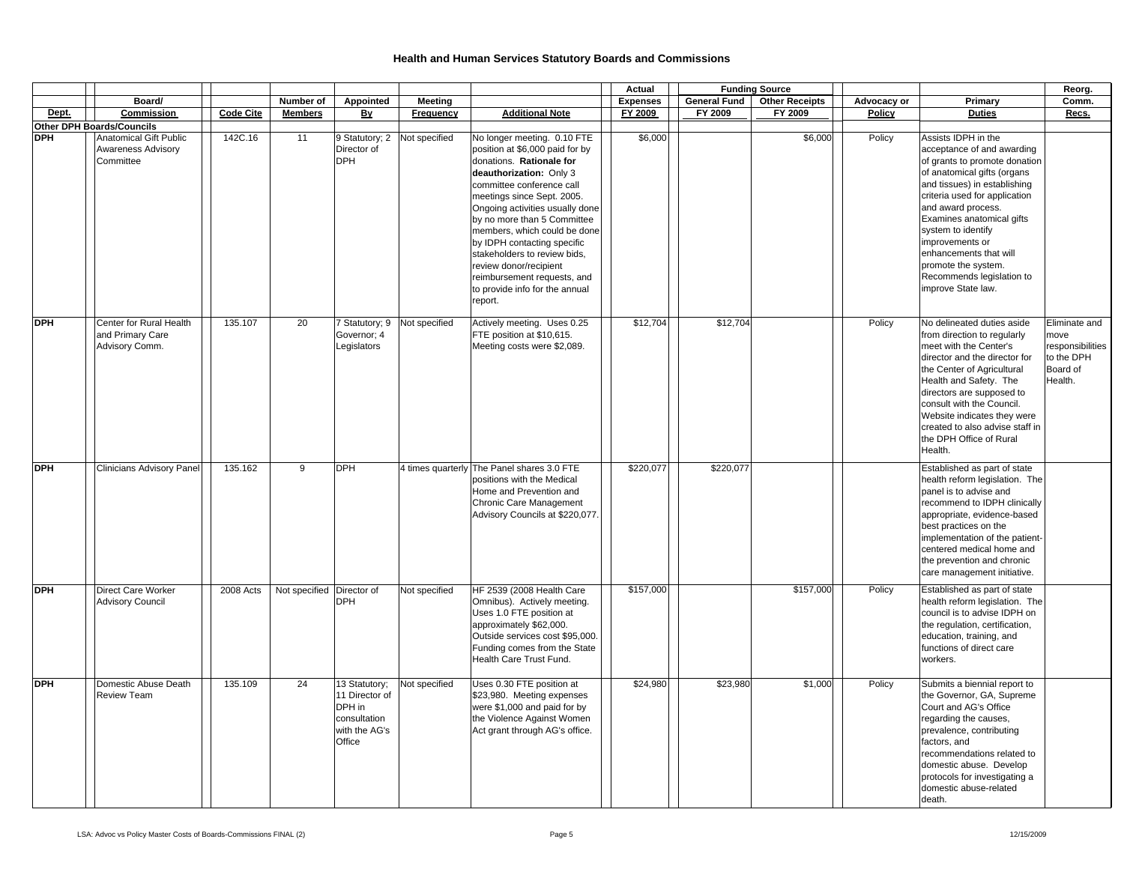|            |                                                                                                             |                  |                           |                                                                                      |                  |                                                                                                                                                                                                                                                                                                                                                                                                                                                         | Actual          |                     | <b>Funding Source</b> |             |                                                                                                                                                                                                                                                                                                                                                                                    | Reorg.                                                                         |
|------------|-------------------------------------------------------------------------------------------------------------|------------------|---------------------------|--------------------------------------------------------------------------------------|------------------|---------------------------------------------------------------------------------------------------------------------------------------------------------------------------------------------------------------------------------------------------------------------------------------------------------------------------------------------------------------------------------------------------------------------------------------------------------|-----------------|---------------------|-----------------------|-------------|------------------------------------------------------------------------------------------------------------------------------------------------------------------------------------------------------------------------------------------------------------------------------------------------------------------------------------------------------------------------------------|--------------------------------------------------------------------------------|
|            | Board/                                                                                                      |                  | Number of                 | Appointed                                                                            | <b>Meeting</b>   |                                                                                                                                                                                                                                                                                                                                                                                                                                                         | <b>Expenses</b> | <b>General Fund</b> | <b>Other Receipts</b> | Advocacy or | Primary                                                                                                                                                                                                                                                                                                                                                                            | Comm.                                                                          |
| Dept.      | Commission                                                                                                  | <b>Code Cite</b> | <b>Members</b>            | By                                                                                   | <b>Frequency</b> | <b>Additional Note</b>                                                                                                                                                                                                                                                                                                                                                                                                                                  | FY 2009         | FY 2009             | FY 2009               | Policy      | <b>Duties</b>                                                                                                                                                                                                                                                                                                                                                                      | Recs.                                                                          |
| <b>DPH</b> | <b>Other DPH Boards/Councils</b><br><b>Anatomical Gift Public</b><br><b>Awareness Advisory</b><br>Committee | 142C.16          | 11                        | 9 Statutory; 2<br>Director of<br><b>DPH</b>                                          | Not specified    | No longer meeting. 0.10 FTE<br>position at \$6,000 paid for by<br>donations. Rationale for<br>deauthorization: Only 3<br>committee conference call<br>meetings since Sept. 2005.<br>Ongoing activities usually done<br>by no more than 5 Committee<br>members, which could be done<br>by IDPH contacting specific<br>stakeholders to review bids,<br>review donor/recipient<br>reimbursement requests, and<br>to provide info for the annual<br>report. | \$6,000         |                     | \$6,000               | Policy      | Assists IDPH in the<br>acceptance of and awarding<br>of grants to promote donation<br>of anatomical gifts (organs<br>and tissues) in establishing<br>criteria used for application<br>and award process.<br>Examines anatomical gifts<br>system to identify<br>improvements or<br>enhancements that will<br>promote the system.<br>Recommends legislation to<br>improve State law. |                                                                                |
| <b>DPH</b> | Center for Rural Health<br>and Primary Care<br>Advisory Comm.                                               | 135.107          | 20                        | 7 Statutory; 9<br>Governor; 4<br>Legislators                                         | Not specified    | Actively meeting. Uses 0.25<br>FTE position at \$10,615.<br>Meeting costs were \$2,089.                                                                                                                                                                                                                                                                                                                                                                 | \$12,704        | \$12,704            |                       | Policy      | No delineated duties aside<br>from direction to regularly<br>meet with the Center's<br>director and the director for<br>the Center of Agricultural<br>Health and Safety. The<br>directors are supposed to<br>consult with the Council.<br>Website indicates they were<br>created to also advise staff in<br>the DPH Office of Rural<br>Health.                                     | Eliminate and<br>move<br>responsibilities<br>to the DPH<br>Board of<br>Health. |
| <b>DPH</b> | <b>Clinicians Advisory Panel</b>                                                                            | 135.162          | 9                         | <b>DPH</b>                                                                           |                  | 4 times quarterly The Panel shares 3.0 FTE<br>positions with the Medical<br>Home and Prevention and<br>Chronic Care Management<br>Advisory Councils at \$220,077.                                                                                                                                                                                                                                                                                       | \$220,077       | \$220,077           |                       |             | Established as part of state<br>health reform legislation. The<br>panel is to advise and<br>recommend to IDPH clinically<br>appropriate, evidence-based<br>best practices on the<br>implementation of the patient-<br>centered medical home and<br>the prevention and chronic<br>care management initiative.                                                                       |                                                                                |
| <b>DPH</b> | <b>Direct Care Worker</b><br><b>Advisory Council</b>                                                        | 2008 Acts        | Not specified Director of | <b>DPH</b>                                                                           | Not specified    | HF 2539 (2008 Health Care<br>Omnibus). Actively meeting.<br>Uses 1.0 FTE position at<br>approximately \$62,000.<br>Outside services cost \$95,000.<br>Funding comes from the State<br>Health Care Trust Fund.                                                                                                                                                                                                                                           | \$157,000       |                     | \$157,000             | Policy      | Established as part of state<br>health reform legislation. The<br>council is to advise IDPH on<br>the regulation, certification,<br>education, training, and<br>functions of direct care<br>workers.                                                                                                                                                                               |                                                                                |
| <b>DPH</b> | Domestic Abuse Death<br><b>Review Team</b>                                                                  | 135.109          | 24                        | 13 Statutory;<br>11 Director of<br>DPH in<br>consultation<br>with the AG's<br>Office | Not specified    | Uses 0.30 FTE position at<br>\$23,980. Meeting expenses<br>were \$1,000 and paid for by<br>the Violence Against Women<br>Act grant through AG's office.                                                                                                                                                                                                                                                                                                 | \$24,980        | \$23,980            | \$1,000               | Policy      | Submits a biennial report to<br>the Governor, GA, Supreme<br>Court and AG's Office<br>regarding the causes,<br>prevalence, contributing<br>factors, and<br>recommendations related to<br>domestic abuse. Develop<br>protocols for investigating a<br>domestic abuse-related<br>death.                                                                                              |                                                                                |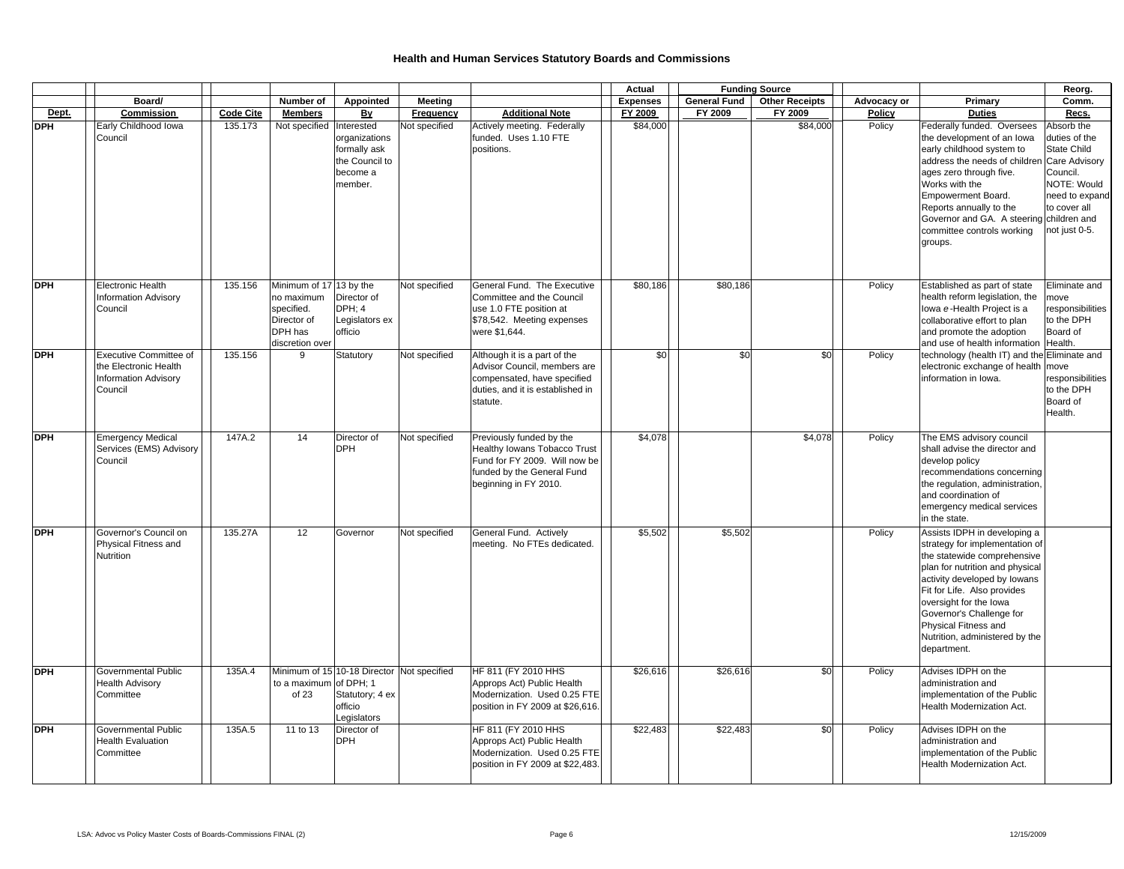|            |                                                                                                  |                  |                                                                                                  |                                                                                         |                |                                                                                                                                                  | Actual          |                     | <b>Funding Source</b> |             |                                                                                                                                                                                                                                                                                                                                | Reorg.                                                                                                                                           |
|------------|--------------------------------------------------------------------------------------------------|------------------|--------------------------------------------------------------------------------------------------|-----------------------------------------------------------------------------------------|----------------|--------------------------------------------------------------------------------------------------------------------------------------------------|-----------------|---------------------|-----------------------|-------------|--------------------------------------------------------------------------------------------------------------------------------------------------------------------------------------------------------------------------------------------------------------------------------------------------------------------------------|--------------------------------------------------------------------------------------------------------------------------------------------------|
|            | Board/                                                                                           |                  | Number of                                                                                        | Appointed                                                                               | <b>Meeting</b> |                                                                                                                                                  | <b>Expenses</b> | <b>General Fund</b> | <b>Other Receipts</b> | Advocacy or | Primary                                                                                                                                                                                                                                                                                                                        | Comm.                                                                                                                                            |
| Dept.      | Commission                                                                                       | <b>Code Cite</b> | <b>Members</b>                                                                                   | <u>Ву</u>                                                                               | Frequency      | <b>Additional Note</b>                                                                                                                           | FY 2009         | FY 2009             | FY 2009               | Policy      | <b>Duties</b>                                                                                                                                                                                                                                                                                                                  | Recs.                                                                                                                                            |
| <b>DPH</b> | Early Childhood Iowa<br>Council                                                                  | 135.173          | Not specified Interested                                                                         | organizations<br>formally ask<br>the Council to<br>become a<br>member.                  | Not specified  | Actively meeting. Federally<br>funded. Uses 1.10 FTE<br>positions.                                                                               | \$84,000        |                     | \$84,000              | Policy      | Federally funded. Oversees<br>the development of an lowa<br>early childhood system to<br>address the needs of children<br>ages zero through five.<br>Works with the<br>Empowerment Board.<br>Reports annually to the<br>Governor and GA. A steering children and<br>committee controls working<br>groups.                      | Absorb the<br>duties of the<br><b>State Child</b><br>Care Advisory<br>Council.<br>NOTE: Would<br>need to expand<br>to cover all<br>not just 0-5. |
| <b>DPH</b> | Electronic Health<br><b>Information Advisory</b><br>Council                                      | 135.156          | Minimum of 17 13 by the<br>no maximum<br>specified.<br>Director of<br>DPH has<br>discretion over | Director of<br>DPH: 4<br>Legislators ex<br>officio                                      | Not specified  | General Fund. The Executive<br>Committee and the Council<br>use 1.0 FTE position at<br>\$78,542. Meeting expenses<br>were \$1,644.               | \$80,186        | \$80,186            |                       | Policy      | Established as part of state<br>health reform legislation, the<br>lowa e-Health Project is a<br>collaborative effort to plan<br>and promote the adoption<br>and use of health information                                                                                                                                      | Eliminate and<br>move<br>responsibilities<br>to the DPH<br>Board of<br>Health.                                                                   |
| <b>DPH</b> | <b>Executive Committee of</b><br>the Electronic Health<br><b>Information Advisory</b><br>Council | 135.156          | 9                                                                                                | Statutory                                                                               | Not specified  | Although it is a part of the<br>Advisor Council, members are<br>compensated, have specified<br>duties, and it is established in<br>statute.      | \$0             | \$0                 | \$0                   | Policy      | technology (health IT) and the Eliminate and<br>electronic exchange of health   move<br>information in Iowa.                                                                                                                                                                                                                   | responsibilities<br>to the DPH<br>Board of<br>Health.                                                                                            |
| <b>DPH</b> | <b>Emergency Medical</b><br>Services (EMS) Advisory<br>Council                                   | 147A.2           | 14                                                                                               | Director of<br><b>DPH</b>                                                               | Not specified  | Previously funded by the<br>Healthy Iowans Tobacco Trust<br>Fund for FY 2009. Will now be<br>funded by the General Fund<br>beginning in FY 2010. | \$4,078         |                     | \$4,078               | Policy      | The EMS advisory council<br>shall advise the director and<br>develop policy<br>recommendations concerning<br>the regulation, administration,<br>and coordination of<br>emergency medical services<br>in the state.                                                                                                             |                                                                                                                                                  |
| <b>DPH</b> | Governor's Council on<br>Physical Fitness and<br>Nutrition                                       | 135.27A          | 12                                                                                               | Governor                                                                                | Not specified  | General Fund. Actively<br>meeting. No FTEs dedicated.                                                                                            | \$5,502         | \$5,502             |                       | Policy      | Assists IDPH in developing a<br>strategy for implementation of<br>the statewide comprehensive<br>plan for nutrition and physical<br>activity developed by lowans<br>Fit for Life. Also provides<br>oversight for the lowa<br>Governor's Challenge for<br>Physical Fitness and<br>Nutrition, administered by the<br>department. |                                                                                                                                                  |
| <b>DPH</b> | <b>Governmental Public</b><br><b>Health Advisory</b><br>Committee                                | 135A.4           | to a maximum of DPH; 1<br>of 23                                                                  | Minimum of 15 10-18 Director Not specified<br>Statutory; 4 ex<br>officio<br>Legislators |                | HF 811 (FY 2010 HHS<br>Approps Act) Public Health<br>Modernization. Used 0.25 FTE<br>position in FY 2009 at \$26,616.                            | \$26,616        | \$26,616            | \$0                   | Policy      | Advises IDPH on the<br>administration and<br>implementation of the Public<br>Health Modernization Act.                                                                                                                                                                                                                         |                                                                                                                                                  |
| <b>DPH</b> | <b>Governmental Public</b><br><b>Health Evaluation</b><br>Committee                              | 135A.5           | 11 to 13                                                                                         | Director of<br><b>DPH</b>                                                               |                | HF 811 (FY 2010 HHS<br>Approps Act) Public Health<br>Modernization. Used 0.25 FTE<br>position in FY 2009 at \$22,483.                            | \$22,483        | \$22,483            | \$0                   | Policy      | Advises IDPH on the<br>administration and<br>implementation of the Public<br>Health Modernization Act.                                                                                                                                                                                                                         |                                                                                                                                                  |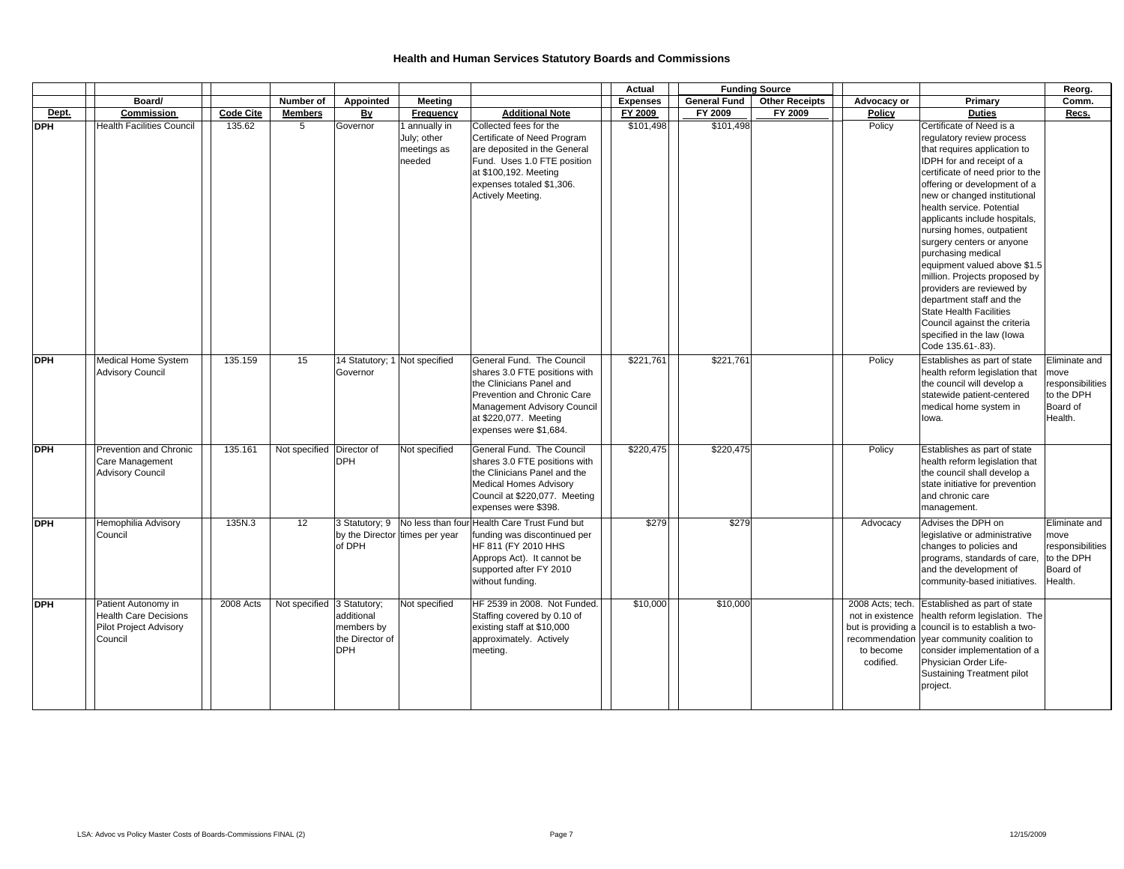|            |                                                                                          |                  |                            |                                                                                                         |                                                                                                                                                                                                         | Actual          |                     | <b>Funding Source</b> |                                                                                                        |                                                                                                                                                                                                                                                                                                                                                                                                                                                                                                                                                                                                                     | Reorg.                                                                         |
|------------|------------------------------------------------------------------------------------------|------------------|----------------------------|---------------------------------------------------------------------------------------------------------|---------------------------------------------------------------------------------------------------------------------------------------------------------------------------------------------------------|-----------------|---------------------|-----------------------|--------------------------------------------------------------------------------------------------------|---------------------------------------------------------------------------------------------------------------------------------------------------------------------------------------------------------------------------------------------------------------------------------------------------------------------------------------------------------------------------------------------------------------------------------------------------------------------------------------------------------------------------------------------------------------------------------------------------------------------|--------------------------------------------------------------------------------|
|            | Board/                                                                                   |                  | Number of                  | Appointed<br><b>Meeting</b>                                                                             |                                                                                                                                                                                                         | <b>Expenses</b> | <b>General Fund</b> | <b>Other Receipts</b> | Advocacy or                                                                                            | Primary                                                                                                                                                                                                                                                                                                                                                                                                                                                                                                                                                                                                             | Comm.                                                                          |
| Dept.      | Commission                                                                               | <b>Code Cite</b> | <b>Members</b>             | By<br>Frequency                                                                                         | <b>Additional Note</b>                                                                                                                                                                                  | FY 2009         | FY 2009             | FY 2009               | <b>Policy</b>                                                                                          | <b>Duties</b>                                                                                                                                                                                                                                                                                                                                                                                                                                                                                                                                                                                                       | Recs.                                                                          |
| <b>DPH</b> | <b>Health Facilities Council</b>                                                         | 135.62           | $5^{\circ}$                | Governor<br>1 annually in<br>July; other<br>meetings as<br>needed                                       | Collected fees for the<br>Certificate of Need Program<br>are deposited in the General<br>Fund. Uses 1.0 FTE position<br>at \$100,192. Meeting<br>expenses totaled \$1,306.<br>Actively Meeting.         | \$101,498       | \$101,498           |                       | Policy                                                                                                 | Certificate of Need is a<br>regulatory review process<br>that requires application to<br>IDPH for and receipt of a<br>certificate of need prior to the<br>offering or development of a<br>new or changed institutional<br>health service. Potential<br>applicants include hospitals,<br>nursing homes, outpatient<br>surgery centers or anyone<br>purchasing medical<br>equipment valued above \$1.5<br>million. Projects proposed by<br>providers are reviewed by<br>department staff and the<br><b>State Health Facilities</b><br>Council against the criteria<br>specified in the law (lowa<br>Code 135.61-.83). |                                                                                |
| <b>DPH</b> | Medical Home System<br><b>Advisory Council</b>                                           | 135.159          | 15                         | 14 Statutory; 1 Not specified<br>Governor                                                               | General Fund. The Council<br>shares 3.0 FTE positions with<br>the Clinicians Panel and<br>Prevention and Chronic Care<br>Management Advisory Council<br>at \$220,077. Meeting<br>expenses were \$1,684. | \$221,761       | \$221,761           |                       | Policy                                                                                                 | Establishes as part of state<br>health reform legislation that<br>the council will develop a<br>statewide patient-centered<br>medical home system in<br>lowa.                                                                                                                                                                                                                                                                                                                                                                                                                                                       | Eliminate and<br>move<br>responsibilities<br>to the DPH<br>Board of<br>Health. |
| <b>DPH</b> | <b>Prevention and Chronic</b><br>Care Management<br><b>Advisory Council</b>              | 135.161          | Not specified Director of  | Not specified<br>DPH                                                                                    | General Fund. The Council<br>shares 3.0 FTE positions with<br>the Clinicians Panel and the<br><b>Medical Homes Advisory</b><br>Council at \$220,077. Meeting<br>expenses were \$398.                    | \$220,475       | \$220,475           |                       | Policy                                                                                                 | Establishes as part of state<br>health reform legislation that<br>the council shall develop a<br>state initiative for prevention<br>and chronic care<br>management.                                                                                                                                                                                                                                                                                                                                                                                                                                                 |                                                                                |
| <b>DPH</b> | Hemophilia Advisory<br>Council                                                           | 135N.3           | 12                         | 3 Statutory; 9 No less than four Health Care Trust Fund but<br>by the Director times per year<br>of DPH | funding was discontinued per<br>HF 811 (FY 2010 HHS<br>Approps Act). It cannot be<br>supported after FY 2010<br>without funding.                                                                        | \$279           | \$279               |                       | Advocacy                                                                                               | Advises the DPH on<br>legislative or administrative<br>changes to policies and<br>programs, standards of care,<br>and the development of<br>community-based initiatives.                                                                                                                                                                                                                                                                                                                                                                                                                                            | Eliminate and<br>move<br>responsibilities<br>to the DPH<br>Board of<br>Health. |
| <b>DPH</b> | Patient Autonomy in<br><b>Health Care Decisions</b><br>Pilot Project Advisory<br>Council | 2008 Acts        | Not specified 3 Statutory; | Not specified<br>additional<br>members by<br>the Director of<br>DPH                                     | HF 2539 in 2008. Not Funded.<br>Staffing covered by 0.10 of<br>existing staff at \$10,000<br>approximately. Actively<br>meeting.                                                                        | \$10,000        | \$10,000            |                       | 2008 Acts; tech.<br>not in existence<br>but is providing a<br>recommendation<br>to become<br>codified. | Established as part of state<br>health reform legislation. The<br>council is to establish a two-<br>year community coalition to<br>consider implementation of a<br>Physician Order Life-<br>Sustaining Treatment pilot<br>project.                                                                                                                                                                                                                                                                                                                                                                                  |                                                                                |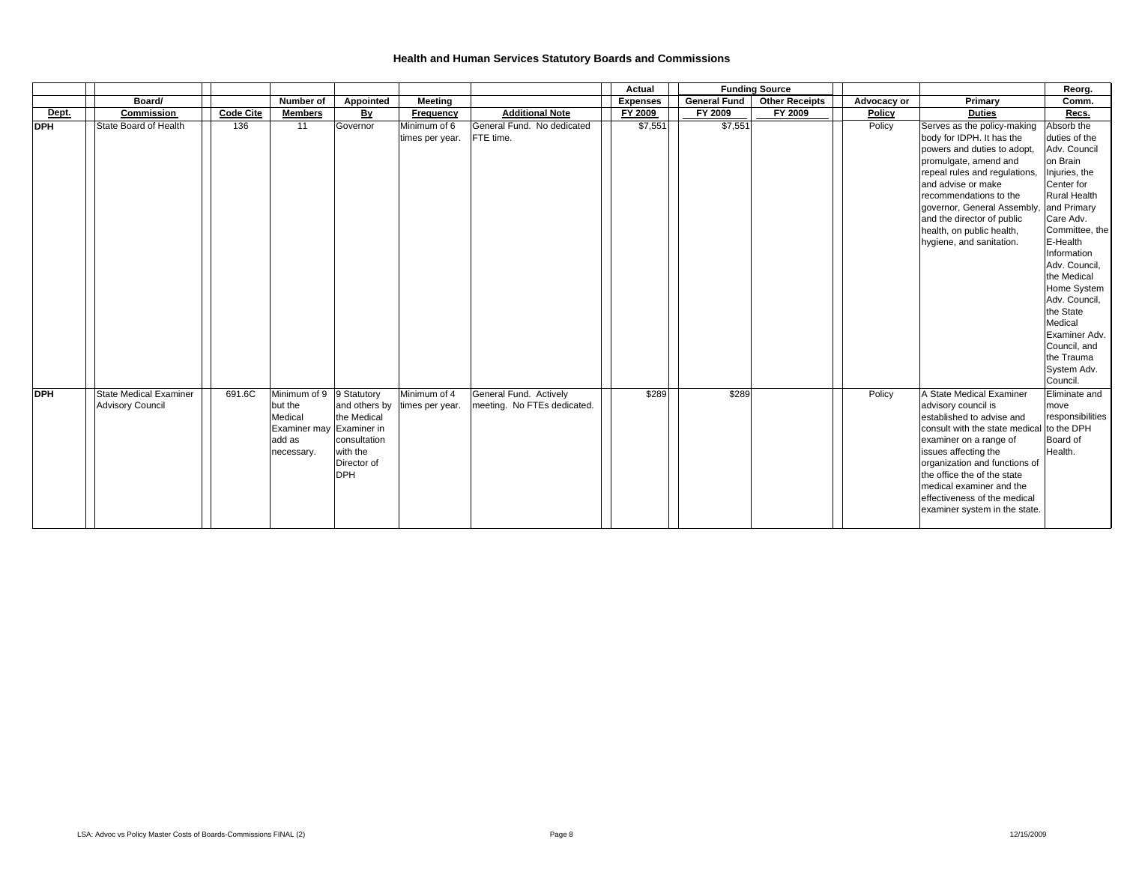|            |                                                          |                  |                                                                                        |                                                                                                        |                                 |                                                       | Actual          |              | <b>Funding Source</b> |             |                                                                                                                                                                                                                                                                                                                               | Reorg.                                                                                                                                                                                                                                                                                                                                                   |
|------------|----------------------------------------------------------|------------------|----------------------------------------------------------------------------------------|--------------------------------------------------------------------------------------------------------|---------------------------------|-------------------------------------------------------|-----------------|--------------|-----------------------|-------------|-------------------------------------------------------------------------------------------------------------------------------------------------------------------------------------------------------------------------------------------------------------------------------------------------------------------------------|----------------------------------------------------------------------------------------------------------------------------------------------------------------------------------------------------------------------------------------------------------------------------------------------------------------------------------------------------------|
|            | Board/                                                   |                  | Number of                                                                              | Appointed                                                                                              | Meeting                         |                                                       | <b>Expenses</b> | General Fund | <b>Other Receipts</b> | Advocacy or | Primary                                                                                                                                                                                                                                                                                                                       | Comm.                                                                                                                                                                                                                                                                                                                                                    |
| Dept.      | Commission                                               | <b>Code Cite</b> | <b>Members</b>                                                                         | Вy                                                                                                     | Frequency                       | <b>Additional Note</b>                                | FY 2009         | FY 2009      | FY 2009               | Policy      | <b>Duties</b>                                                                                                                                                                                                                                                                                                                 | Recs.                                                                                                                                                                                                                                                                                                                                                    |
| <b>DPH</b> | State Board of Health                                    | 136              | 11                                                                                     | Governor                                                                                               | Minimum of 6<br>times per year. | General Fund. No dedicated<br>FTE time.               | \$7,551         | \$7,551      |                       | Policy      | Serves as the policy-making<br>body for IDPH. It has the<br>powers and duties to adopt,<br>promulgate, amend and<br>repeal rules and regulations.<br>and advise or make<br>recommendations to the<br>governor, General Assembly,<br>and the director of public<br>health, on public health,<br>hygiene, and sanitation.       | Absorb the<br>duties of the<br>Adv. Council<br>on Brain<br>Injuries, the<br>Center for<br><b>Rural Health</b><br>and Primary<br>Care Adv.<br>Committee, the<br>E-Health<br>Information<br>Adv. Council,<br>the Medical<br>Home System<br>Adv. Council,<br>the State<br>Medical<br>Examiner Adv.<br>Council, and<br>the Trauma<br>System Adv.<br>Council. |
| <b>DPH</b> | <b>State Medical Examiner</b><br><b>Advisory Council</b> | 691.6C           | Minimum of 9<br>but the<br>Medical<br>Examiner may Examiner in<br>add as<br>necessary. | $\sqrt{9}$ Statutory<br>and others by<br>the Medical<br>consultation<br>with the<br>Director of<br>DPH | Minimum of 4<br>times per year. | General Fund. Actively<br>meeting. No FTEs dedicated. | \$289           | \$289        |                       | Policy      | A State Medical Examiner<br>advisory council is<br>established to advise and<br>consult with the state medical<br>examiner on a range of<br>issues affecting the<br>organization and functions of<br>the office the of the state<br>medical examiner and the<br>effectiveness of the medical<br>examiner system in the state. | Eliminate and<br>move<br>responsibilities<br>to the DPH<br>Board of<br>Health.                                                                                                                                                                                                                                                                           |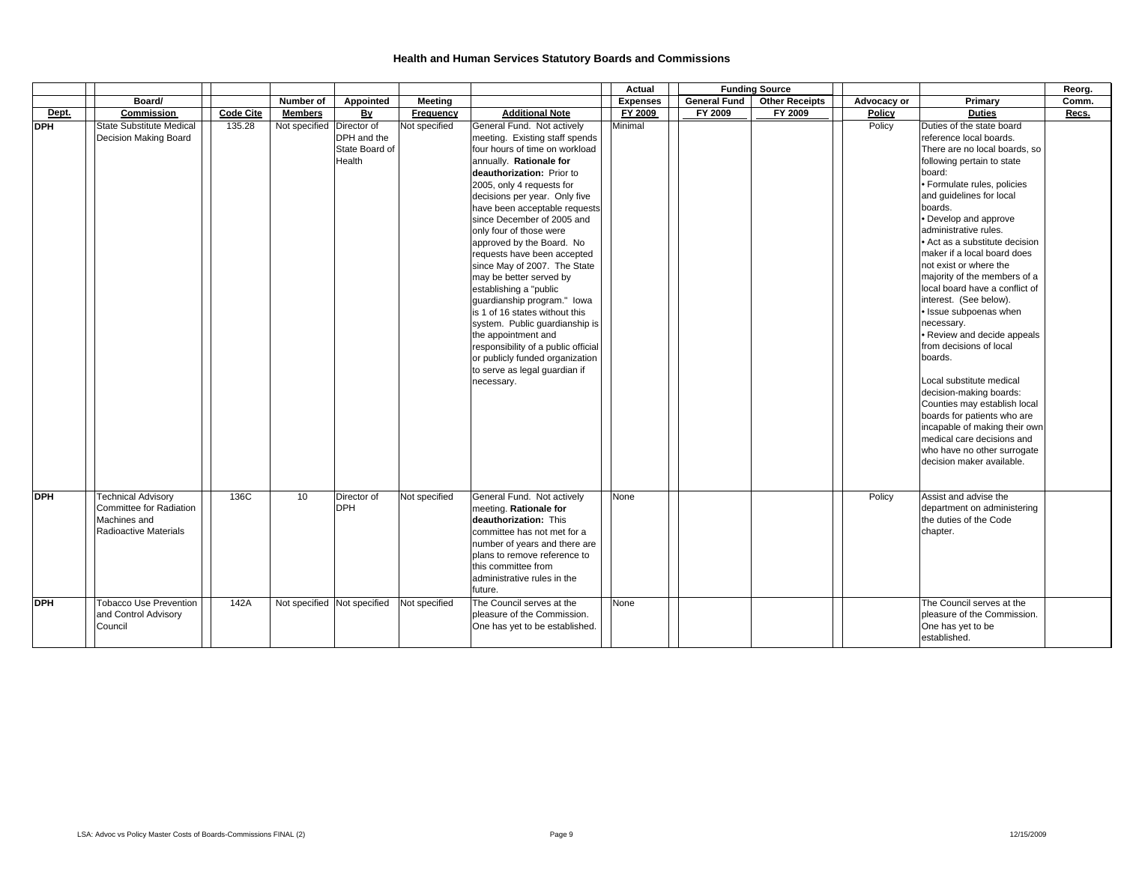|            |                                                                                                      |                  |                             |                                         |               |                                                                                                                                                                                                                                                                                                                                                                                                                                                                                                                                                                                                                                                                                                                    | Actual          |                     | <b>Funding Source</b> |             |                                                                                                                                                                                                                                                                                                                                                                                                                                                                                                                                                                                                                                                                                                                                                                                                            | Reorg. |
|------------|------------------------------------------------------------------------------------------------------|------------------|-----------------------------|-----------------------------------------|---------------|--------------------------------------------------------------------------------------------------------------------------------------------------------------------------------------------------------------------------------------------------------------------------------------------------------------------------------------------------------------------------------------------------------------------------------------------------------------------------------------------------------------------------------------------------------------------------------------------------------------------------------------------------------------------------------------------------------------------|-----------------|---------------------|-----------------------|-------------|------------------------------------------------------------------------------------------------------------------------------------------------------------------------------------------------------------------------------------------------------------------------------------------------------------------------------------------------------------------------------------------------------------------------------------------------------------------------------------------------------------------------------------------------------------------------------------------------------------------------------------------------------------------------------------------------------------------------------------------------------------------------------------------------------------|--------|
|            | Board/                                                                                               |                  | Number of                   | Appointed                               | Meeting       |                                                                                                                                                                                                                                                                                                                                                                                                                                                                                                                                                                                                                                                                                                                    | <b>Expenses</b> | <b>General Fund</b> | <b>Other Receipts</b> | Advocacy or | Primary                                                                                                                                                                                                                                                                                                                                                                                                                                                                                                                                                                                                                                                                                                                                                                                                    | Comm.  |
| Dept.      | Commission                                                                                           | <b>Code Cite</b> | <b>Members</b>              | By                                      | Frequency     | <b>Additional Note</b>                                                                                                                                                                                                                                                                                                                                                                                                                                                                                                                                                                                                                                                                                             | FY 2009         | FY 2009             | FY 2009               | Policy      | <b>Duties</b>                                                                                                                                                                                                                                                                                                                                                                                                                                                                                                                                                                                                                                                                                                                                                                                              | Recs.  |
| <b>DPH</b> | <b>State Substitute Medical</b><br>Decision Making Board                                             | 135.28           | Not specified Director of   | DPH and the<br>State Board of<br>Health | Not specified | General Fund. Not actively<br>meeting. Existing staff spends<br>four hours of time on workload<br>annually. Rationale for<br>deauthorization: Prior to<br>2005, only 4 requests for<br>decisions per year. Only five<br>have been acceptable requests<br>since December of 2005 and<br>only four of those were<br>approved by the Board. No<br>requests have been accepted<br>since May of 2007. The State<br>may be better served by<br>establishing a "public<br>guardianship program." Iowa<br>is 1 of 16 states without this<br>system. Public guardianship is<br>the appointment and<br>responsibility of a public official<br>or publicly funded organization<br>to serve as legal guardian if<br>necessary. | Minimal         |                     |                       | Policy      | Duties of the state board<br>reference local boards.<br>There are no local boards, so<br>following pertain to state<br>board:<br>· Formulate rules, policies<br>and guidelines for local<br>boards.<br>• Develop and approve<br>administrative rules.<br>• Act as a substitute decision<br>maker if a local board does<br>not exist or where the<br>majority of the members of a<br>local board have a conflict of<br>interest. (See below).<br>· Issue subpoenas when<br>necessary.<br>• Review and decide appeals<br>from decisions of local<br>boards.<br>Local substitute medical<br>decision-making boards:<br>Counties may establish local<br>boards for patients who are<br>incapable of making their own<br>medical care decisions and<br>who have no other surrogate<br>decision maker available. |        |
| <b>DPH</b> | <b>Technical Advisory</b><br><b>Committee for Radiation</b><br>Machines and<br>Radioactive Materials | 136C             | 10 <sup>1</sup>             | Director of<br><b>DPH</b>               | Not specified | General Fund. Not actively<br>meeting. Rationale for<br>deauthorization: This<br>committee has not met for a<br>number of years and there are<br>plans to remove reference to<br>this committee from<br>administrative rules in the<br>future.                                                                                                                                                                                                                                                                                                                                                                                                                                                                     | None            |                     |                       | Policy      | Assist and advise the<br>department on administering<br>the duties of the Code<br>chapter.                                                                                                                                                                                                                                                                                                                                                                                                                                                                                                                                                                                                                                                                                                                 |        |
| <b>DPH</b> | <b>Tobacco Use Prevention</b><br>and Control Advisory<br>Council                                     | 142A             | Not specified Not specified |                                         | Not specified | The Council serves at the<br>pleasure of the Commission.<br>One has yet to be established.                                                                                                                                                                                                                                                                                                                                                                                                                                                                                                                                                                                                                         | None            |                     |                       |             | The Council serves at the<br>pleasure of the Commission.<br>One has yet to be<br>established.                                                                                                                                                                                                                                                                                                                                                                                                                                                                                                                                                                                                                                                                                                              |        |